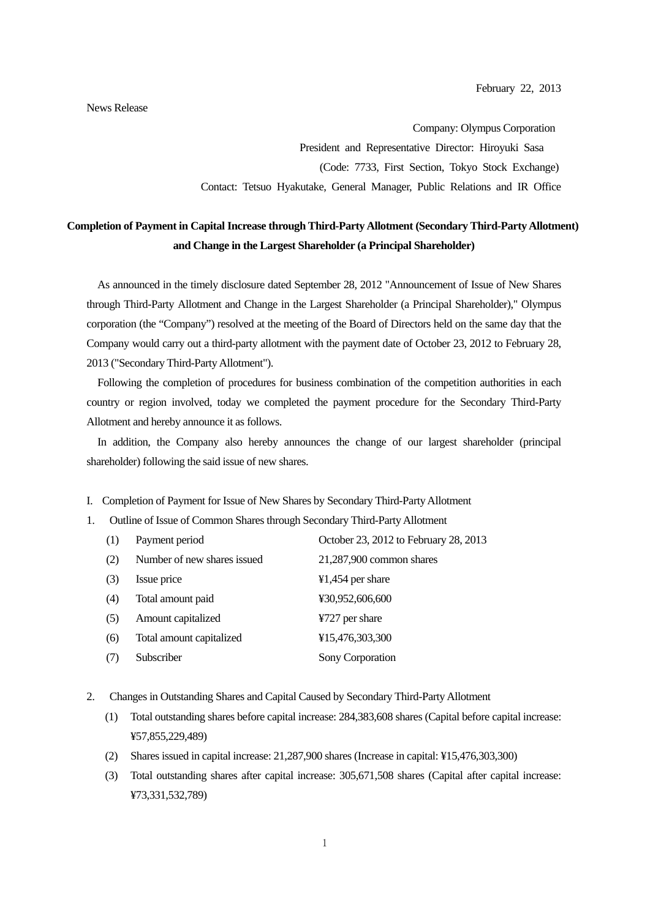Company: Olympus Corporation President and Representative Director: Hiroyuki Sasa (Code: 7733, First Section, Tokyo Stock Exchange) Contact: Tetsuo Hyakutake, General Manager, Public Relations and IR Office

## **Completion of Payment in Capital Increase through Third-Party Allotment (Secondary Third-Party Allotment) and Change in the Largest Shareholder (a Principal Shareholder)**

As announced in the timely disclosure dated September 28, 2012 "Announcement of Issue of New Shares through Third-Party Allotment and Change in the Largest Shareholder (a Principal Shareholder)," Olympus corporation (the "Company") resolved at the meeting of the Board of Directors held on the same day that the Company would carry out a third-party allotment with the payment date of October 23, 2012 to February 28, 2013 ("Secondary Third-Party Allotment").

Following the completion of procedures for business combination of the competition authorities in each country or region involved, today we completed the payment procedure for the Secondary Third-Party Allotment and hereby announce it as follows.

In addition, the Company also hereby announces the change of our largest shareholder (principal shareholder) following the said issue of new shares.

## I. Completion of Payment for Issue of New Shares by Secondary Third-Party Allotment

1. Outline of Issue of Common Shares through Secondary Third-Party Allotment

| (1) | Payment period              | October 23, 2012 to February 28, 2013 |
|-----|-----------------------------|---------------------------------------|
| (2) | Number of new shares issued | $21,287,900$ common shares            |
| (3) | Issue price                 | $41,454$ per share                    |
| (4) | Total amount paid           | ¥30,952,606,600                       |
| (5) | Amount capitalized          | ¥727 per share                        |
| (6) | Total amount capitalized    | ¥15,476,303,300                       |
| (7) | Subscriber                  | Sony Corporation                      |

- 2. Changes in Outstanding Shares and Capital Caused by Secondary Third-Party Allotment
	- (1) Total outstanding shares before capital increase: 284,383,608 shares (Capital before capital increase: ¥57,855,229,489)
	- (2) Shares issued in capital increase: 21,287,900 shares (Increase in capital: ¥15,476,303,300)
	- (3) Total outstanding shares after capital increase: 305,671,508 shares (Capital after capital increase: ¥73,331,532,789)